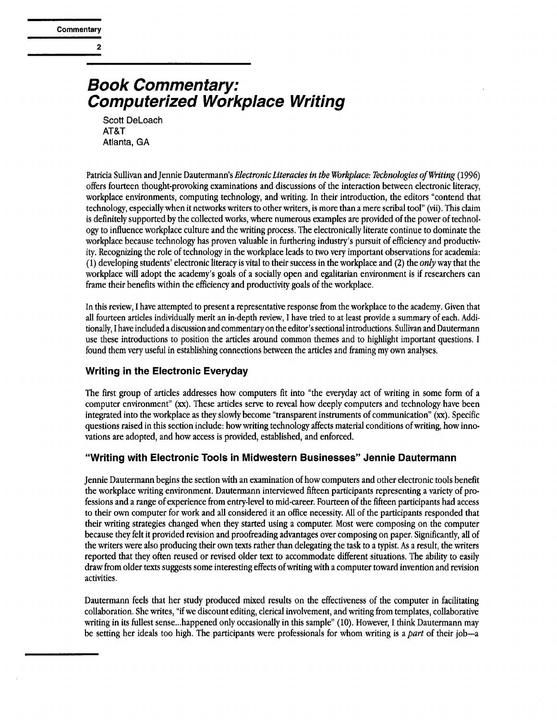**2** 

# *Book Commentary: Computerized Workplace Writing*

Scott DeLoach AT&T Atlanta, GA

Patricia Sullivan and Jennie Dautermann's *Electronic Literacies in the Workplace: Technologies of Writing* (1996) offers fourteen thought-provoking examinations and discussions of the interaction between electronic literacy, workplace environments, computing technology, and writing. In their introduction, the editors "contend that technology, especially when it networks writers to other writers, is more than a mere scribal tool" (vii). This claim is definitely supported by the collected works, where numerous examples are provided of the power of technology to influence workplace culture and the writing process. The electronically literate continue to dominate the workplace because technology has proven valuable in furthering industry's pursuit of efficiency and productivity. Recognizing the role of technology in the workplace leads to two very important observations for academia: (1) developing students' electronic literacy is vital to their success in the workplace and (2) the *only* way that the workplace will adopt the academy's goals of a socially open and egalitarian environment is if researchers can frame their benefits within the efficiency and productivity goals of the workplace.

In this review, I have attempted to present a representative response from the workplace to the academy. Given that all fourteen articles individually merit an in-depth review, I have tried to at least provide a summary of each. Additionally, I have included a discussion and commentary on the editor's sectional introductions. Sullivan and Dautermann use these introductions to position the articles around common themes and to highlight important questions, l found them very useful in establishing connections between the articles and framing my own analyses.

# **Writing in the Electronic Everyday**

The first group of articles addresses how computers fit into "the everyday act of writing in some form of a computer environment" (xx). These articles serve to reveal how deeply computers and technology have been integrated into the workplace as they slowly become "transparent instruments of communication" (xx). Specific questions raised in this section include: how writing technology affects material conditions of writing, how innovations are adopted, and how access is provided, established, and enforced.

# **"Writing with Electronic Tools in Midwestern Businesses" Jennie Dautermann**

Jennie Dautermann begins the section with an examination of how computers and other electronic tools benefit the workplace writing environment. Dautermann interviewed fifteen participants representing a variety of professions and a range of experience from entry-level to mid-career. Fourteen of the fifteen participants had access to their own computer for work and all considered it an office necessity. All of the participants responded that their writing strategies changed when they started using a computer. Most were composing on the computer because they felt it provided revision and proofreading advantages over composing on paper. Significantly, all of the writers were also producing their own texts rather than delegating the task to a typist. As a result, the writers reported that they often reused or revised older text to accommodate different situations. The ability to easily draw from older texts suggests some interesting effects of writing with a computer toward invention and revision activities.

Dautermann feels that her study produced mixed results on the effectiveness of the computer in facilitating collaboration. She writes, "if we discount editing, clerical involvement, and writing from templates, collaborative writing in its fullest sense...happened only occasionally in this sample" (10). However, I think Dautermann may be setting her ideals too high. The participants were professionals for whom writing is a *part* of their job-a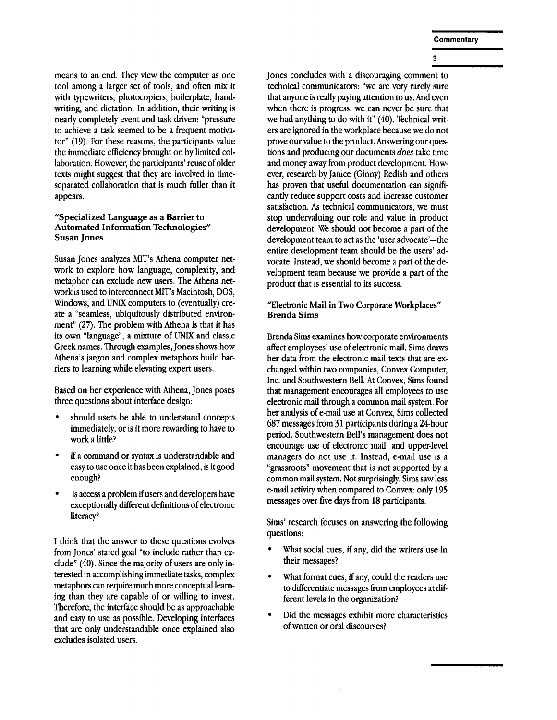means to an end. They view the computer as one tool among a larger set of tools, and often mix it with typewriters, photocopiers, boilerplate, handwriting, and dictation. In addition, their writing is nearly completely event and task driven: "pressure to achieve a task seemed to be a frequent motivator" (19). For these reasons, the participants value the immediate efficiency brought on by limited collaboration. However, the participants' reuse of older texts might suggest that they are involved in timeseparated collaboration that is much fuller than it appears.

#### **"Specialized Language as a Barrier to Automated Information Technologies" Susan Jones**

Susan Jones analyzes MIT's Athena computer network to explore how language, complexity, and metaphor can exclude new users. The Athena network is used to interconnect MIT's Macintosh, DOS, Windows, and UNIX computers to (eventually) create a "seamless, ubiquitously distributed environment" (27). The problem with Athena is that it has its own "language", a mixture of UNIX and classic Greek names. Through examples, Jones shows how Athena's jargon and complex metaphors build barriers to learning while elevating expert users.

Based on her experience with Athena, Jones poses three questions about interface design:

- should users be able to understand concepts immediately, or is it more rewarding to have to work a little?
- if a command or syntax is understandable and easy to use once it has been explained, is it good enough?
- is access a problem if users and developers have exceptionally different definitions of electronic literacy?

I think that the answer to these questions evolves from Jones' stated goal "to include rather than exclude" (40). Since the majority of users are only interested in accomplishing immediate tasks, complex metaphors can require much more conceptual leaming than they are capable of or willing to invest. Therefore, the interface should be as approachable and easy to use as possible. Developing interfaces that are only understandable once explained also excludes isolated users.

Jones concludes with a discouraging comment to technical communicators: "we are very rarely sure that anyone is really paying attention to us. And even when there is progress, we can never be sure that we had anything to do with it" (40). Technical writers are ignored in the workplace because we do not prove our value to the product. Answering our questions and producing our documents *does* take time and money away from product development. However, research by Janice (Ginny) Redish and others has proven that useful documentation can significantly reduce support costs and increase customer satisfaction. As technical communicators, we must stop undervaluing our role and value in product development. We should not become a part of the development team to act as the 'user advocate'-the entire development team should be the users' advocate. Instead, we should become a part of the development team because we provide a part of the product that is essential to its success.

### **"Electronic** Mail in **Two Corporate** Workplaces" Brenda Sims

Brenda Sims examines how corporate environments affect employees' use of electronic mail. Sims draws her data from the electronic mail texts that are exchanged within two companies, Convex Computer, Inc. and Southwestern Bell. At Convex, Sims found that management encourages all employees to use electronic mail through a common mail system. For her analysis of e-mail use at Convex, Sims collected 687 messages from 31 participants during a 24-hour period. Southwestern Bell's management does not encourage use of electronic mail, and upper-level managers do not use it. Instead, e-mail use is a "grassroots" movement that is not supported by a common mail system. Not surprisingly, Sims saw less e-mail activity when compared to Convex: only 195 messages over five days from 18 participants.

Sims' research focuses on answering the following questions:

- What social cues, if any, did the writers use in their messages?
- What format cues, if any, could the readers use to differentiate messages from employees at different levels in the organization?
- Did the messages exhibit more characteristics of written or oral discourses?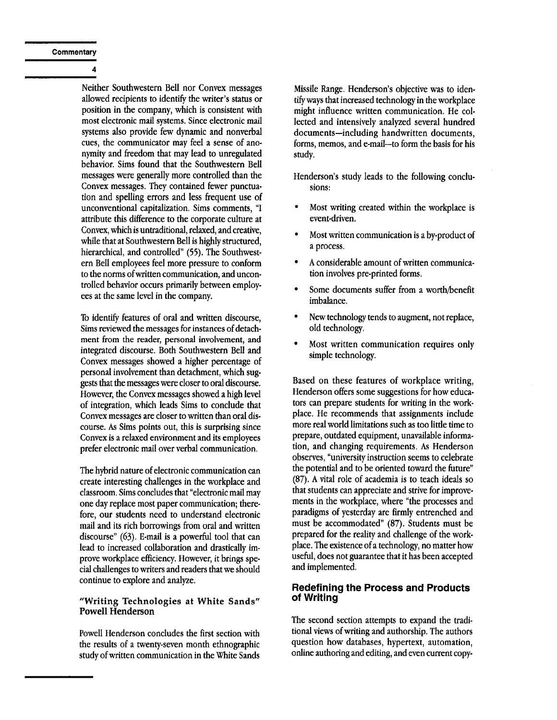**Commentary** 

 $\overline{A}$ 

Neither Southwestern Bell nor Convex messages allowed recipients to identify the writer's status or position in the company, which is consistent with most electronic mail systems. Since electronic mail systems also provide few dynamic and nonverbal cues, the communicator may feel a sense of anonymity and freedom that may lead to unregulated behavior. Sims found that the Southwestern Bell messages were generally more controlled than the Convex messages. They contained fewer punctuation and spelling errors and less frequent use of unconventional capitalization. Sims comments, "I attribute this difference to the corporate culture at Convex, which is untraditional, relaxed, and creative, while that at Southwestern Bell is highly structured, hierarchical, and controlled" (55). The Southwestern Bell employees feel more pressure to conform to the norms of written communication, and uncontrolled behavior occurs primarily between employees at the same level in the company.

To identify features of oral and written discourse, Sims reviewed the messages for instances of detachment from the reader, personal involvement, and integrated discourse. Both Southwestern Bell and Convex messages showed a higher percentage of personal involvement than detachment, which suggests that the messages were closer to oral discourse. However, the Convex messages showed a high level of integration, which leads Sims to conclude that Convex messages are closer to written than oral discourse. As Sims points out, this is surprising since Convex is a relaxed environment and its employees prefer electronic mail over verbal communication.

The hybrid nature of electronic communication can create interesting challenges in the workplace and classroom. Sims concludes that "electronic mail may one day replace most paper communication; therefore, our students need to understand electronic mail and its rich borrowings from oral and written discourse" (63). E.mail is a powerful tool that can lead to increased collaboration and drastically improve workplace efficiency. However, it brings special challenges to writers and readers that we should continue to explore and analyze.

#### **"Writing Technologies at White Sands"**  Powell **Henderson**

Powell Henderson concludes the first section with the results of a twenty-seven month ethnographic study of written communication in the White Sands Missile Range. Henderson's objective was to iden. tify ways that increased technology in the workplace might influence written communication. He collected and intensively analyzed several hundred documents-including handwritten documents, forms, memos, and e-mail-to form the basis for his study.

Henderson's study leads to the following conclusions:

- Most writing created within the workplace is event-driven.
- Most written communication is a by-product of a process.
- A considerable amount of written communication involves pre-printed forms.
- Some documents suffer from a worth/benefit imbalance.
- New technology tends to augment, not replace, old technology.
- Most written communication requires only simple technology.

Based on these features of workplace writing, Henderson offers some suggestions for how educators can prepare students for writing in the workplace. He recommends that assignments include more real world limitations such as too little time to prepare, outdated equipment, unavailable information, and changing requirements. As Henderson observes, "university instruction seems to celebrate the potential and to be oriented toward the future" (87). A vital role of academia is to teach ideals so that students can appreciate and strive for improvements in the workplace, where "the processes and paradigms of yesterday are firmly entrenched and must be accommodated" (87). Students must be prepared for the reality and challenge of the workplace. The existence of a technology, no matter how useful, does not guarantee that it has been accepted and implemented.

#### **Redefining the Process and Products of Writing**

The second section attempts to expand the traditional views of writing and authorship. The authors question how databases, hypertext, automation, online authoring and editing, and even current copy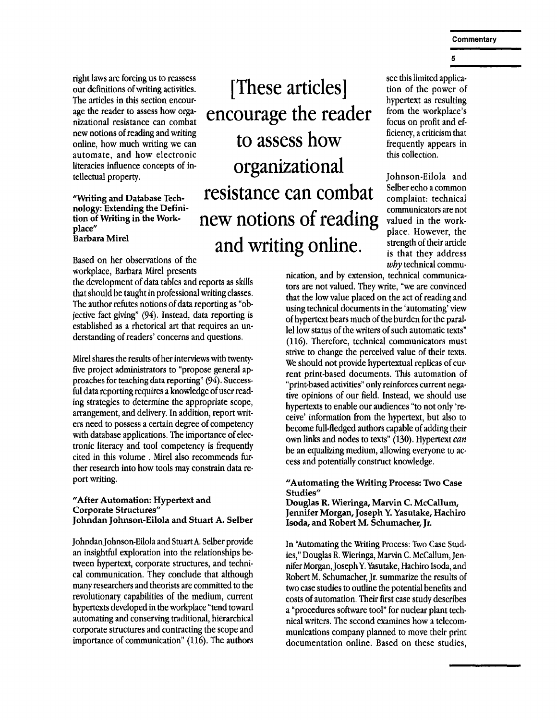right laws are forcing us to reassess our definitions of writing activities. The articles in this section encourage the reader to assess how organizational resistance can combat new notions of reading and writing online, how much writing we can automate, and how electronic literacies influence concepts of in. tellectual property.

#### "Writing and Database Technology: Extending the Definition of Writing in the Workplace" **Barbara** Mirel

Based on her observations of the workplace, Barbara Mirel presents

the development of data tables and reports as skills that should be taught in professional writing classes. The author refutes notions of data reporting as "objective fact giving" (94). Instead, data reporting is established as a rhetorical art that requires an understanding of readers' concerns and questions.

Mirel shares the results of her interviews with twentyfive project administrators to "propose general approaches for teaching data reporting" (94). Successful data reporting requires a knowledge of user reading strategies to determine the appropriate scope, arrangement, and delivery. In addition, report writers need to possess a certain degree of competency with database applications. The importance of electronic literacy and tool competency is frequently cited in this volume. Mirel also recommends further research into how tools may constrain data report writing.

#### "After Automation: Hypertext and **Corporate** Structures" **Johndan Johnson-Eilola and Stuart A. Selber**

Johndan Johnson-Eilola and Stuart A. Selber provide an insightful exploration into the relationships between hypertext, corporate structures, and technical communication. They conclude that although many researchers and theorists are committed to the revolutionary capabilities of the medium, current hypertexts developed in the workplace "tend toward automating and conserving traditional, hierarchical corporate structures and contracting the scope and importance of communication" (116). The authors

**[These articles] encourage the reader to assess how organizational resistance can combat new notions of reading and writing online.** 

see this limited application of the power of hypertext as resulting from the workplace's focus on profit and efficiency, a criticism that frequently appears in this collection.

Johnson-Eilola and Selber echo a common complaint: technical communicators are not valued in the workplace. However, the strength of their article is that they address *why* technical commu-

nication, and by extension, technical communicators are not valued. They write, "we are convinced that the low value placed on the act of reading and using technical documents in the 'automating' view of hypertext bears much of the burden for the parallel low status of the writers of such automatic texts" (116). Therefore, technical communicators must strive to change the perceived value of their texts. We should not provide hypertextual replicas of current print-based documents. This automation of "print-based activities" only reinforces current negative opinions of our field. Instead, we should use hypertexts to enable our audiences "to not only 'receive' information from the hypertext, but also to become full.fledged authors capable of adding their own links and nodes to texts" (130). Hypertext *can*  be an equalizing medium, allowing everyone to access and potentially construct knowledge.

#### "Automating the Writing Process: Two Case Studies"

**Douglas** R. Wieringa, Marvin C. McCallum, **Jennifer Morgan, Joseph Y. Yasutake, Hachiro Isoda, and Robert M. Schumacher, Jr.** 

In 'Automating the Writing Process: Two Case Studies," Douglas R. Wieringa, Marvin C. McCallum, Jennifer Morgan, Joseph Y. Yasutake, Hachiro Isoda, and Robert M. Schumacher, Jr. summarize the results of two case studies to outline the potential benefits and costs of automation. Their first case study describes a "procedures software tool" for nuclear plant technical writers. The second examines how a telecommunications company planned to move their print documentation online. Based on these studies,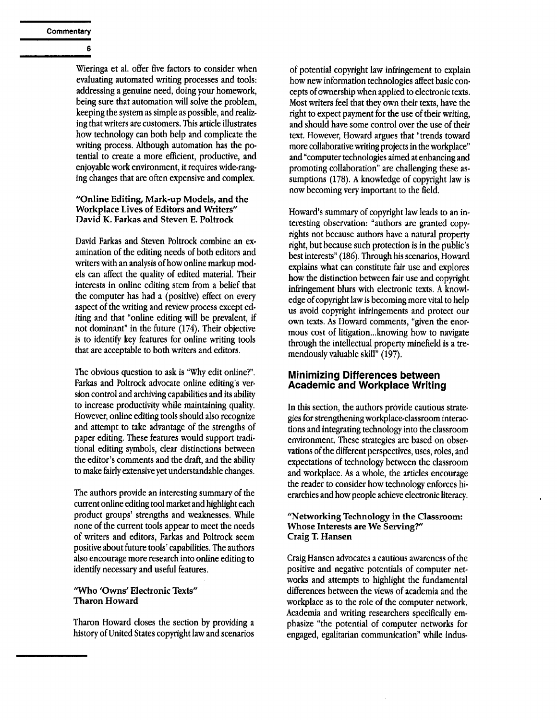6

Wieringa et al. offer five factors to consider when evaluating automated writing processes and tools: addressing a genuine need, doing your homework, being sure that automation will solve the problem, keeping the system as simple as possible, and realizing that writers are customers. This article illustrates how technology can both help and complicate the writing process. Although automation has the potential to create a more efficient, productive, and enjoyable work environment, it requires wide-ranging changes that are often expensive and complex.

#### **"Online Editing, Mark-up Models, and the Workplace Lives of Editors and Writers" David K. Farkas and Steven E. Poltrock**

David Farkas and Steven Poltrock combine an examination of the editing needs of both editors and writers with an analysis of how online markup models can affect the quality of edited material. Their interests in online editing stem from a belief that the computer has had a (positive) effect on every aspect of the writing and review process except editing and that "online editing will be prevalent, if not dominant" in the future (174). Their objective is to identify key features for online writing tools that are acceptable to both writers and editors.

The obvious question to ask is "Why edit online?". Farkas and Poltrock advocate online editing's version control and archiving capabilities and its ability to increase productivity while maintaining quality. However, online editing tools should also recognize and attempt to take advantage of the strengths of paper editing. These features would support traditional editing symbols, clear distinctions between the editor's comments and the draft, and the ability to make fairly extensive yet understandable changes.

The authors provide an interesting summary of the current online editing tool market and highlight each product groups' strengths and weaknesses. While none of the current tools appear to meet the needs of writers and editors, Farkas and Poltrock seem positive about future tools' capabilities. The authors also encourage more research into online editing to identify necessary and useful features.

#### "Who 'Owns' Electronic Texts" Tharon Howard

Tharon Howard closes the section by providing a history of United States copyright law and scenarios

of potential copyright law infringement to explain how new information technologies affect basic concepts of ownership when applied to electronic texts. Most writers feel that they own their texts, have the right to expect payment for the use of their writing, and should have some control over the use of their text. However, Howard argues that "trends toward more collaborative writing projects in the workplace" and "computer technologies aimed at enhancing and promoting collaboration" are challenging these assumptions (178). A knowledge of copyright law is now becoming very important to the field.

Howard's summary of copyright law leads to an interesting observation: "authors are granted copyrights not because authors have a natural property right, but because such protection is in the public's best interests" (186). Through his scenarios, Howard explains what can constitute fair use and explores how the distinction between fair use and copyright infringement blurs with electronic texts. A knowledge of copyright law is becoming more vital to help us avoid copyright infringements and protect our own texts. As Howard comments, "given the enormous cost of litigation...knowing how to navigate through the intellectual property minefield is a tremendously valuable skill" (197).

#### **Minimizing Differences between Academic and Workplace Writing**

In this section, the authors provide cautious strategies for strengthening workplace-classroom interactions and integrating technology into the classroom environment. These strategies are based on observations of the different perspectives, uses, roles, and expectations of technology between the classroom and workplace. As a whole, the articles encourage the reader to consider how technology enforces hierarchies and how people achieve electronic literacy.

#### **"Networking Technology in the Classroom: Whose Interests are We Serving?" Craig T. Hansen**

Craig Hansen advocates a cautious awareness of the positive and negative potentials of computer networks and attempts to highlight the fundamental differences between the views of academia and the workplace as to the role of the computer network. Academia and writing researchers specifically emphasize "the potential of computer networks for engaged, egalitarian communication" while indus-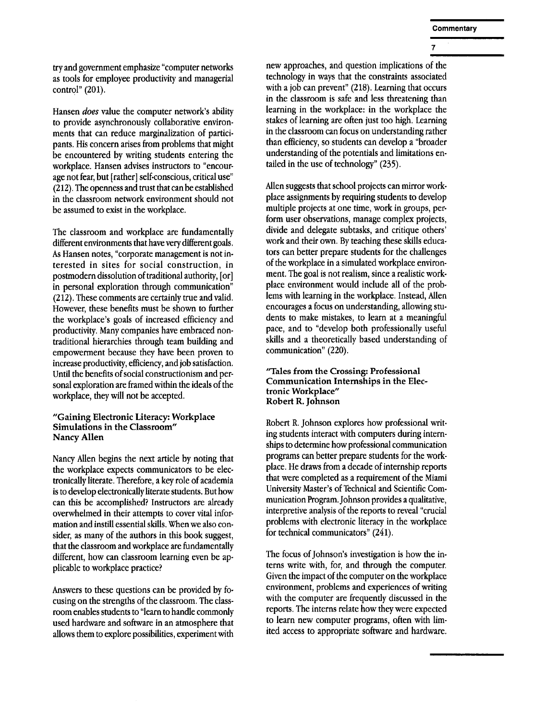$\overline{7}$ 

try and government emphasize "computer networks as tools for employee productivity and managerial control" (201).

Hansen *does* value the computer network's ability to provide asynchronously collaborative environments that can reduce marginalization of participants. His concern arises from problems that might be encountered by writing students entering the workplace. Hansen advises instructors to "encourage not fear, but [rather] self-conscious, critical use" (212). The openness and trust that can be established in the classroom network environment should not be assumed to exist in the workplace.

The classroom and workplace are fundamentally different environments that have very different goals. As Hansen notes, "corporate management is not interested in sites for social construction, in postmodern dissolution of traditional authority, [or] in personal exploration through communication" (212). These comments are certainly true and valid. However, these benefits must be shown to further the workplace's goals of increased efficiency and productivity. Many companies have embraced nontraditional hierarchies through team building and empowerment because they have been proven to increase productivity, efficiency, and job satisfaction. Until the benefits of social constructionism and personal exploration are framed within the ideals of the workplace, they will not be accepted.

#### **"Gaining Electronic Literacy: Workplace Simulations in the Classroom" Nancy** Allen

Nancy Allen begins the next article by noting that the workplace expects communicators to be electronically literate. Therefore, a key role of academia is to develop electronically literate students. But how can this be accomplished? Instructors are already overwhelmed in their attempts to cover vital information and instill essential skills. When we also consider, as many of the authors in this book suggest, that the classroom and workplace are fundamentally different, how can classroom learning even be applicable to workplace practice?

Answers to these questions can be provided by focusing on the strengths of the classroom. The classroom enables students to "learn to handle commonly used hardware and software in an atmosphere that allows them to explore possibilities, experiment with

new approaches, and question implications of the technology in ways that the constraints associated with a job can prevent" (218). Learning that occurs in the classroom is safe and less threatening than learning in the workplace: in the workplace the stakes of learning are often just too high. Learning in the classroom can focus on understanding rather than efficiency, so students can develop a "broader understanding of the potentials and limitations entailed in the use of technology" (235).

Mien suggests that school projects can mirror workplace assignments by requiring students to develop multiple projects at one time, work in groups, perform user observations, manage complex projects, divide and delegate subtasks, and critique others' work and their own. By teaching these skills educators can better prepare students for the challenges of the workplace in a simulated workplace environment. The goal is not realism, since a realistic workplace environment would include all of the problems with learning in the workplace. Instead, Allen encourages a focus on understanding, allowing students to make mistakes, to learn at a meaningful pace, and to "develop both professionally useful skills and a theoretically based understanding of communication" (220).

"Tales from **the Crossing: Professional Communication Internships in the Electronic** Workplace" Robert R. **Johnson** 

Robert R. Johnson explores how professional writing students interact with computers during internships to determine how professional communication programs can better prepare students for the workplace. He draws from a decade of internship reports that were completed as a requirement of the Miami University Master's of Technical and Scientific Communication Program. Johnson provides a qualitative, interpretive analysis of the reports to reveal "crucial problems with electronic literacy in the workplace for technical communicators" (241).

The focus of Johnson's investigation is how the interns write with, for, and through the computer. Given the impact of the computer on the workplace environment, problems and experiences of writing with the computer are frequently discussed in the reports. The interns relate how they were expected to learn new computer programs, often with limited access to appropriate software and hardware.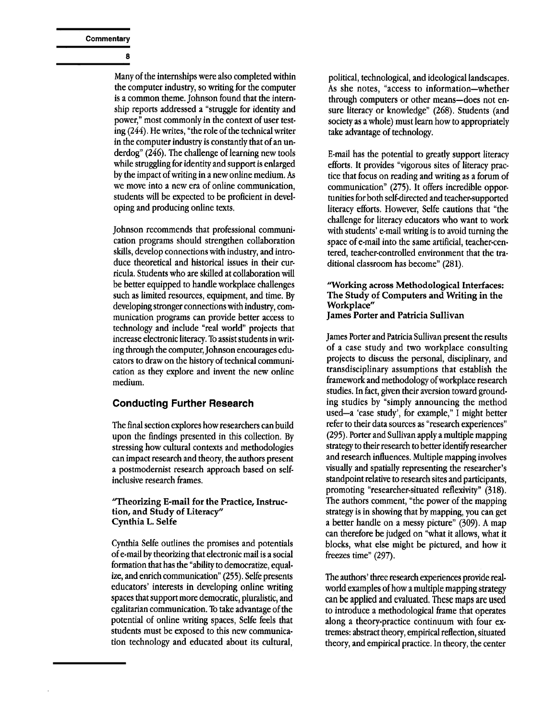8

Many of the internships were also completed within the computer industry, so writing for the computer is a common theme. Johnson found that the internship reports addressed a "struggle for identity and power," most commonly in the context of user testing (244). He writes, "the role of the technical writer in the computer industry is constantly that of an underdog" (246). The challenge of learning new tools while struggling for identity and support is enlarged by the impact of writing in a new online medium. As we move into a new era of online communication, students will be expected to be proficient in developing and producing online texts,

Johnson recommends that professional communication programs should strengthen collaboration skills, develop connections with industry, and introduce theoretical and historical issues in their curricula. Students who are skilled at collaboration will be better equipped to handle workplace challenges such as limited resources, equipment, and time. By developing stronger connections with industry, communication programs can provide better access to technology and include "real world" projects that increase electronic literacy. To assist students in writing through the computer, Johnson encourages educators to draw on the history of technical communication as they explore and invent the new online medium.

# **Conducting Further Research**

The final section explores how researchers can build upon the findings presented in this collection. By stressing how cultural contexts and methodologies can impact research and theory, the authors present a postmodernist research approach based on selfinclusive research frames.

#### **"Theorizing E-mail for the Practice, Instruction, and Study of Literacy" Cynthia L. Selfe**

Cynthia Selfe outlines the promises and potentials of e-mail by theorizing that electronic mail is a social formation that has the "ability to democratize, equal. ize, and enrich communication" (255). Selfe presents educators' interests in developing online writing spaces that support more democratic, pluralistic, and egalitarian communication. To take advantage of the potential of online writing spaces, Selfe feels that students must be exposed to this new communication technology and educated about its cultural,

political, technological, and ideological landscapes. As she notes, "access to information-whether through computers or other means-does not ensure literacy or knowledge" (268). Students (and society as a whole) must learn how to appropriately take advantage of technology.

E-mail has the potential to greatly support literacy efforts. It provides "vigorous sites of literacy practice that focus on reading and writing as a forum of communication" (275). It offers incredible opportunities for both self-directed and teacher-supported literacy efforts. However, Selfe cautions that "the challenge for literacy educators who want to work with students' e-mail writing is to avoid turning the space of e-mail into the same artificial, teacher-centered, teacher-controlled environment that the traditional classroom has become" (281).

#### "Working across Methodological **Interfaces: The** Study of Computers and Writing in **the**  Workplace" **James Porter** and Patricia Sullivan

James Porter and Patricia Sullivan present the results of a case study and two workplace consulting projects to discuss the personal, disciplinary, and transdisciplinary assumptions that establish the framework and methodology of workplace research studies. In fact, given their aversion toward grounding studies by "simply announcing the method used-a 'case study', for example," I might better refer to their data sources as "research experiences" (295). Porter and Sullivan apply a multiple mapping strategy to their research to better identify researcher and research influences. Multiple mapping involves visually and spatially representing the researcher's standpoint relative to research sites and participants, promoting "researcher-situated reflexivity" (318). The authors comment, "the power of the mapping strategy is in showing that by mapping, you can get a better handle on a messy picture" (309). A map can therefore be judged on "what it allows, what it blocks, what else might be pictured, and how it freezes time" (297).

The authors' three research experiences provide realworld examples of how a multiple mapping strategy can be applied and evaluated. These maps are used to introduce a methodological frame that operates along a theory-practice continuum with four ex. tremes: abstract theory, empirical reflection, situated theory, and empirical practice. In theory, the center